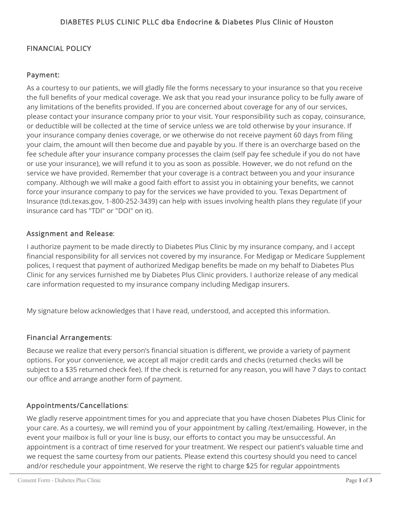#### FINANCIAL POLICY

#### Payment:

As a courtesy to our patients, we will gladly file the forms necessary to your insurance so that you receive the full benefits of your medical coverage. We ask that you read your insurance policy to be fully aware of any limitations of the benefits provided. If you are concerned about coverage for any of our services, please contact your insurance company prior to your visit. Your responsibility such as copay, coinsurance, or deductible will be collected at the time of service unless we are told otherwise by your insurance. If your insurance company denies coverage, or we otherwise do not receive payment 60 days from filing your claim, the amount will then become due and payable by you. If there is an overcharge based on the fee schedule after your insurance company processes the claim (self pay fee schedule if you do not have or use your insurance), we will refund it to you as soon as possible. However, we do not refund on the service we have provided. Remember that your coverage is a contract between you and your insurance company. Although we will make a good faith effort to assist you in obtaining your benefits, we cannot force your insurance company to pay for the services we have provided to you. Texas Department of Insurance (tdi.texas.gov, 1-800-252-3439) can help with issues involving health plans they regulate (if your insurance card has "TDI" or "DOI" on it).

#### Assignment and Release:

I authorize payment to be made directly to Diabetes Plus Clinic by my insurance company, and I accept financial responsibility for all services not covered by my insurance. For Medigap or Medicare Supplement polices, I request that payment of authorized Medigap benefits be made on my behalf to Diabetes Plus Clinic for any services furnished me by Diabetes Plus Clinic providers. I authorize release of any medical care information requested to my insurance company including Medigap insurers.

My signature below acknowledges that I have read, understood, and accepted this information.

#### Financial Arrangements:

Because we realize that every person's financial situation is different, we provide a variety of payment options. For your convenience, we accept all major credit cards and checks (returned checks will be subject to a \$35 returned check fee). If the check is returned for any reason, you will have 7 days to contact our office and arrange another form of payment.

#### Appointments/Cancellations:

We gladly reserve appointment times for you and appreciate that you have chosen Diabetes Plus Clinic for your care. As a courtesy, we will remind you of your appointment by calling /text/emailing. However, in the event your mailbox is full or your line is busy, our efforts to contact you may be unsuccessful. An appointment is a contract of time reserved for your treatment. We respect our patient's valuable time and we request the same courtesy from our patients. Please extend this courtesy should you need to cancel and/or reschedule your appointment. We reserve the right to charge \$25 for regular appointments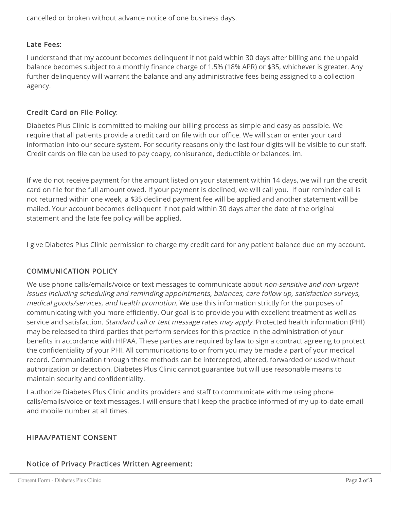cancelled or broken without advance notice of one business days.

### Late Fees:

I understand that my account becomes delinquent if not paid within 30 days after billing and the unpaid balance becomes subject to a monthly finance charge of 1.5% (18% APR) or \$35, whichever is greater. Any further delinquency will warrant the balance and any administrative fees being assigned to a collection agency.

# Credit Card on File Policy:

Diabetes Plus Clinic is committed to making our billing process as simple and easy as possible. We require that all patients provide a credit card on file with our office. We will scan or enter your card information into our secure system. For security reasons only the last four digits will be visible to our staff. Credit cards on file can be used to pay coapy, conisurance, deductible or balances. im.

If we do not receive payment for the amount listed on your statement within 14 days, we will run the credit card on file for the full amount owed. If your payment is declined, we will call you. If our reminder call is not returned within one week, a \$35 declined payment fee will be applied and another statement will be mailed. Your account becomes delinquent if not paid within 30 days after the date of the original statement and the late fee policy will be applied.

I give Diabetes Plus Clinic permission to charge my credit card for any patient balance due on my account.

# COMMUNICATION POLICY

We use phone calls/emails/voice or text messages to communicate about non-sensitive and non-urgent issues including scheduling and reminding appointments, balances, care follow up, satisfaction surveys, medical goods/services, and health promotion. We use this information strictly for the purposes of communicating with you more efficiently. Our goal is to provide you with excellent treatment as well as service and satisfaction. *Standard call or text message rates may apply*. Protected health information (PHI) may be released to third parties that perform services for this practice in the administration of your benefits in accordance with HIPAA. These parties are required by law to sign a contract agreeing to protect the confidentiality of your PHI. All communications to or from you may be made a part of your medical record. Communication through these methods can be intercepted, altered, forwarded or used without authorization or detection. Diabetes Plus Clinic cannot guarantee but will use reasonable means to maintain security and confidentiality.

I authorize Diabetes Plus Clinic and its providers and staff to communicate with me using phone calls/emails/voice or text messages. I will ensure that I keep the practice informed of my up-to-date email and mobile number at all times.

# HIPAA/PATIENT CONSENT

# Notice of Privacy Practices Written Agreement: